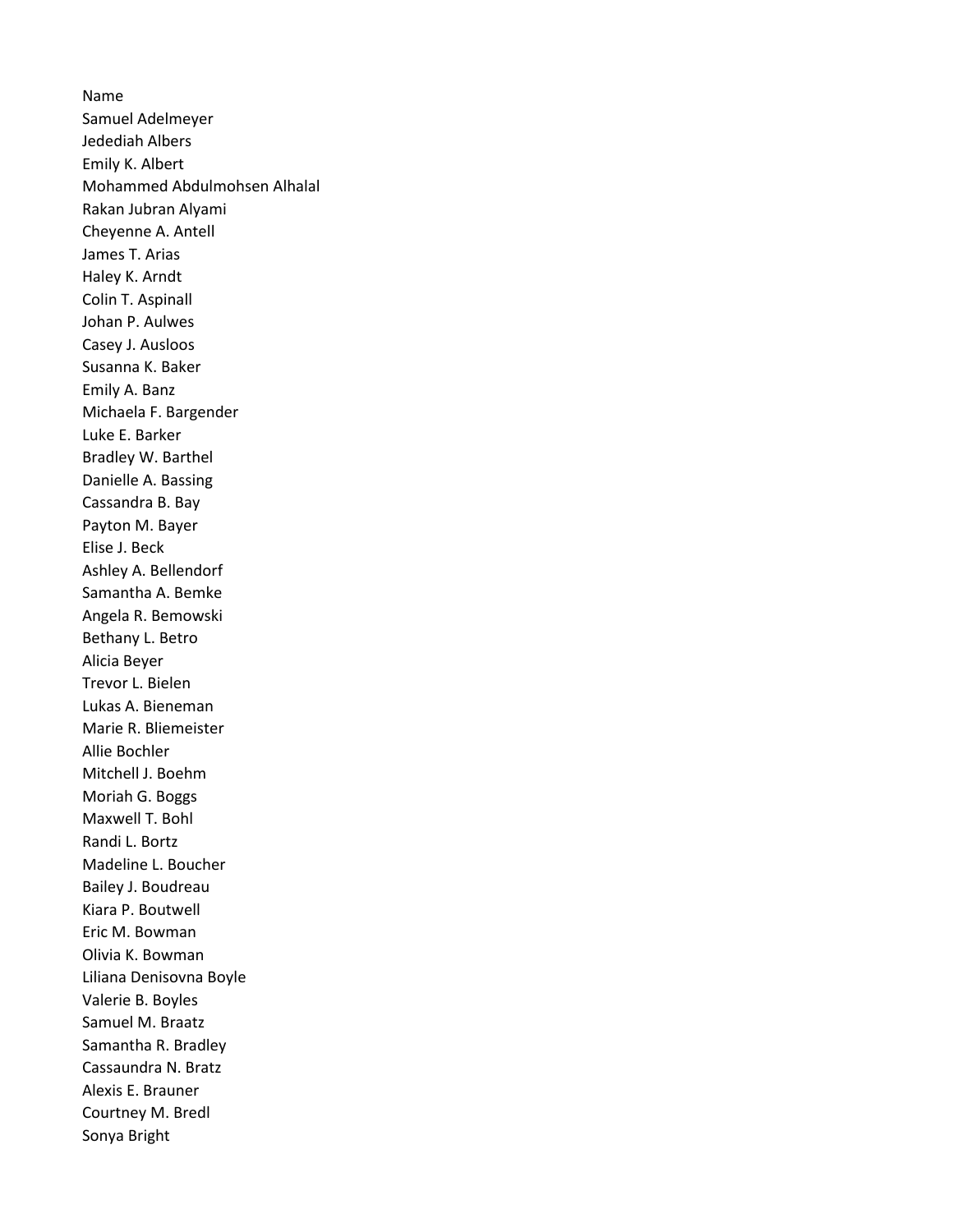Name Samuel Adelmeyer Jedediah Albers Emily K. Albert Mohammed Abdulmohsen Alhalal Rakan Jubran Alyami Cheyenne A. Antell James T. Arias Haley K. Arndt Colin T. Aspinall Johan P. Aulwes Casey J. Ausloos Susanna K. Baker Emily A. Banz Michaela F. Bargender Luke E. Barker Bradley W. Barthel Danielle A. Bassing Cassandra B. Bay Payton M. Bayer Elise J. Beck Ashley A. Bellendorf Samantha A. Bemke Angela R. Bemowski Bethany L. Betro Alicia Beyer Trevor L. Bielen Lukas A. Bieneman Marie R. Bliemeister Allie Bochler Mitchell J. Boehm Moriah G. Boggs Maxwell T. Bohl Randi L. Bortz Madeline L. Boucher Bailey J. Boudreau Kiara P. Boutwell Eric M. Bowman Olivia K. Bowman Liliana Denisovna Boyle Valerie B. Boyles Samuel M. Braatz Samantha R. Bradley Cassaundra N. Bratz Alexis E. Brauner Courtney M. Bredl Sonya Bright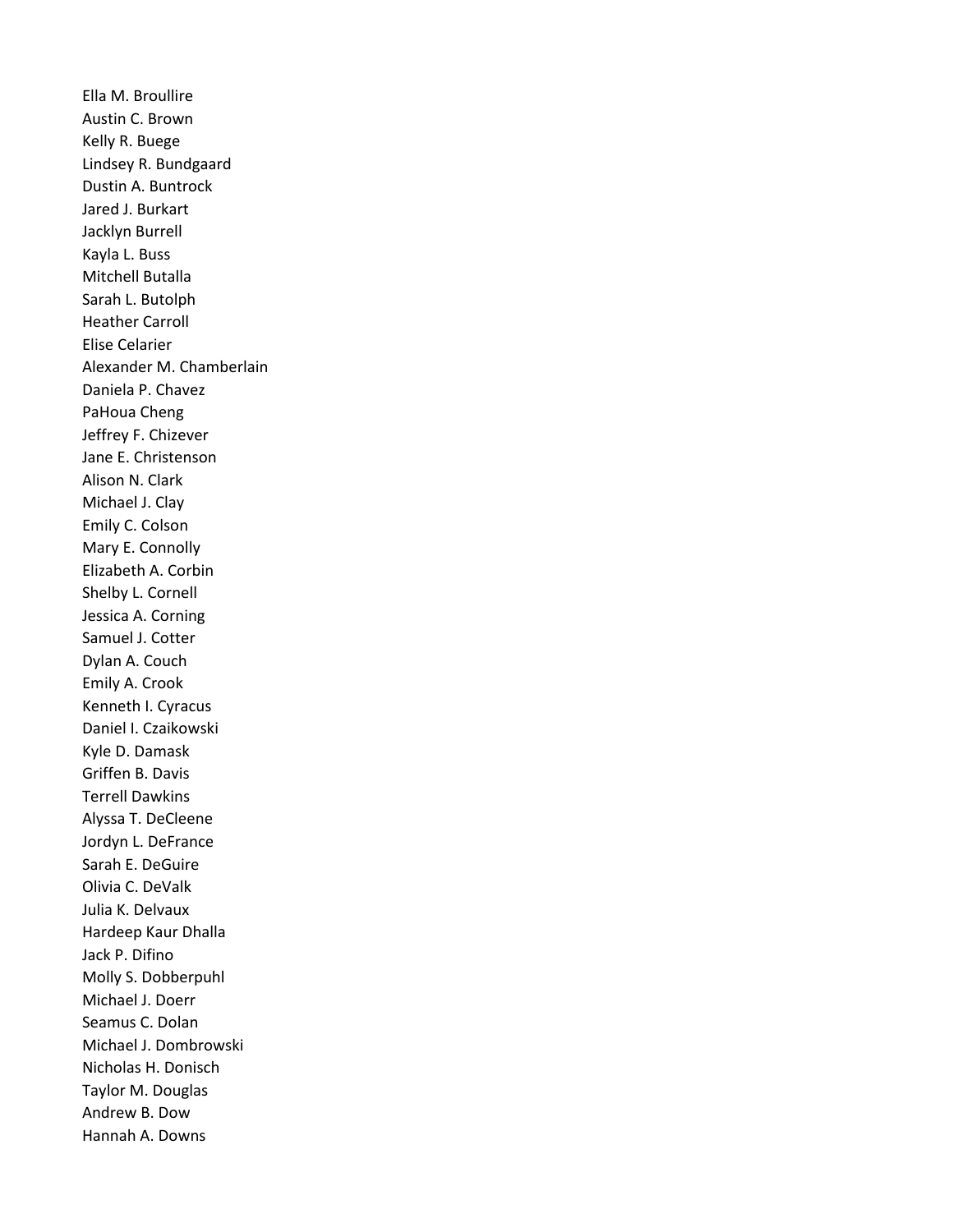Ella M. Broullire Austin C. Brown Kelly R. Buege Lindsey R. Bundgaard Dustin A. Buntrock Jared J. Burkart Jacklyn Burrell Kayla L. Buss Mitchell Butalla Sarah L. Butolph Heather Carroll Elise Celarier Alexander M. Chamberlain Daniela P. Chavez PaHoua Cheng Jeffrey F. Chizever Jane E. Christenson Alison N. Clark Michael J. Clay Emily C. Colson Mary E. Connolly Elizabeth A. Corbin Shelby L. Cornell Jessica A. Corning Samuel J. Cotter Dylan A. Couch Emily A. Crook Kenneth I. Cyracus Daniel I. Czaikowski Kyle D. Damask Griffen B. Davis Terrell Dawkins Alyssa T. DeCleene Jordyn L. DeFrance Sarah E. DeGuire Olivia C. DeValk Julia K. Delvaux Hardeep Kaur Dhalla Jack P. Difino Molly S. Dobberpuhl Michael J. Doerr Seamus C. Dolan Michael J. Dombrowski Nicholas H. Donisch Taylor M. Douglas Andrew B. Dow Hannah A. Downs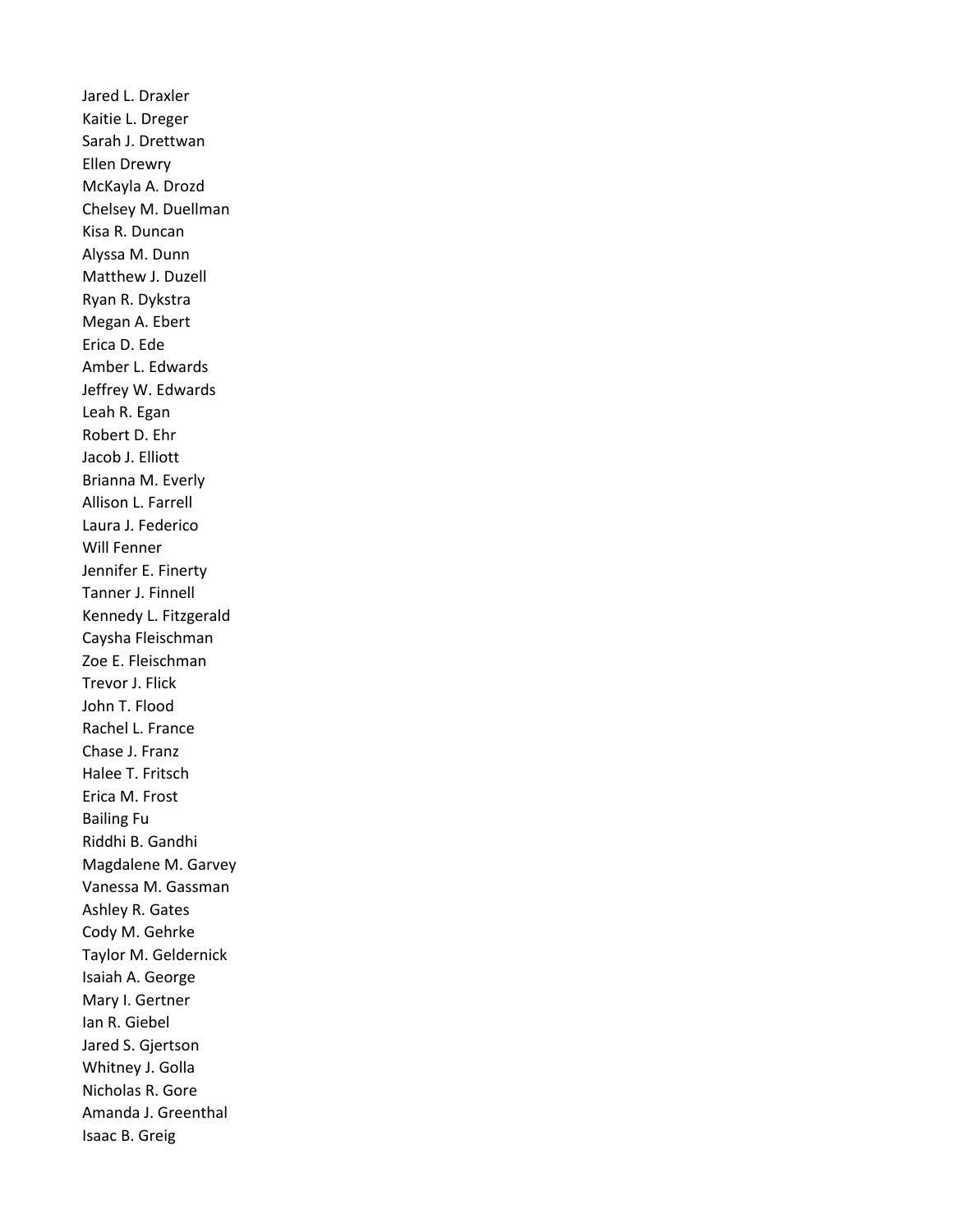Jared L. Draxler Kaitie L. Dreger Sarah J. Drettwan Ellen Drewry McKayla A. Drozd Chelsey M. Duellman Kisa R. Duncan Alyssa M. Dunn Matthew J. Duzell Ryan R. Dykstra Megan A. Ebert Erica D. Ede Amber L. Edwards Jeffrey W. Edwards Leah R. Egan Robert D. Ehr Jacob J. Elliott Brianna M. Everly Allison L. Farrell Laura J. Federico Will Fenner Jennifer E. Finerty Tanner J. Finnell Kennedy L. Fitzgerald Caysha Fleischman Zoe E. Fleischman Trevor J. Flick John T. Flood Rachel L. France Chase J. Franz Halee T. Fritsch Erica M. Frost Bailing Fu Riddhi B. Gandhi Magdalene M. Garvey Vanessa M. Gassman Ashley R. Gates Cody M. Gehrke Taylor M. Geldernick Isaiah A. George Mary I. Gertner Ian R. Giebel Jared S. Gjertson Whitney J. Golla Nicholas R. Gore Amanda J. Greenthal Isaac B. Greig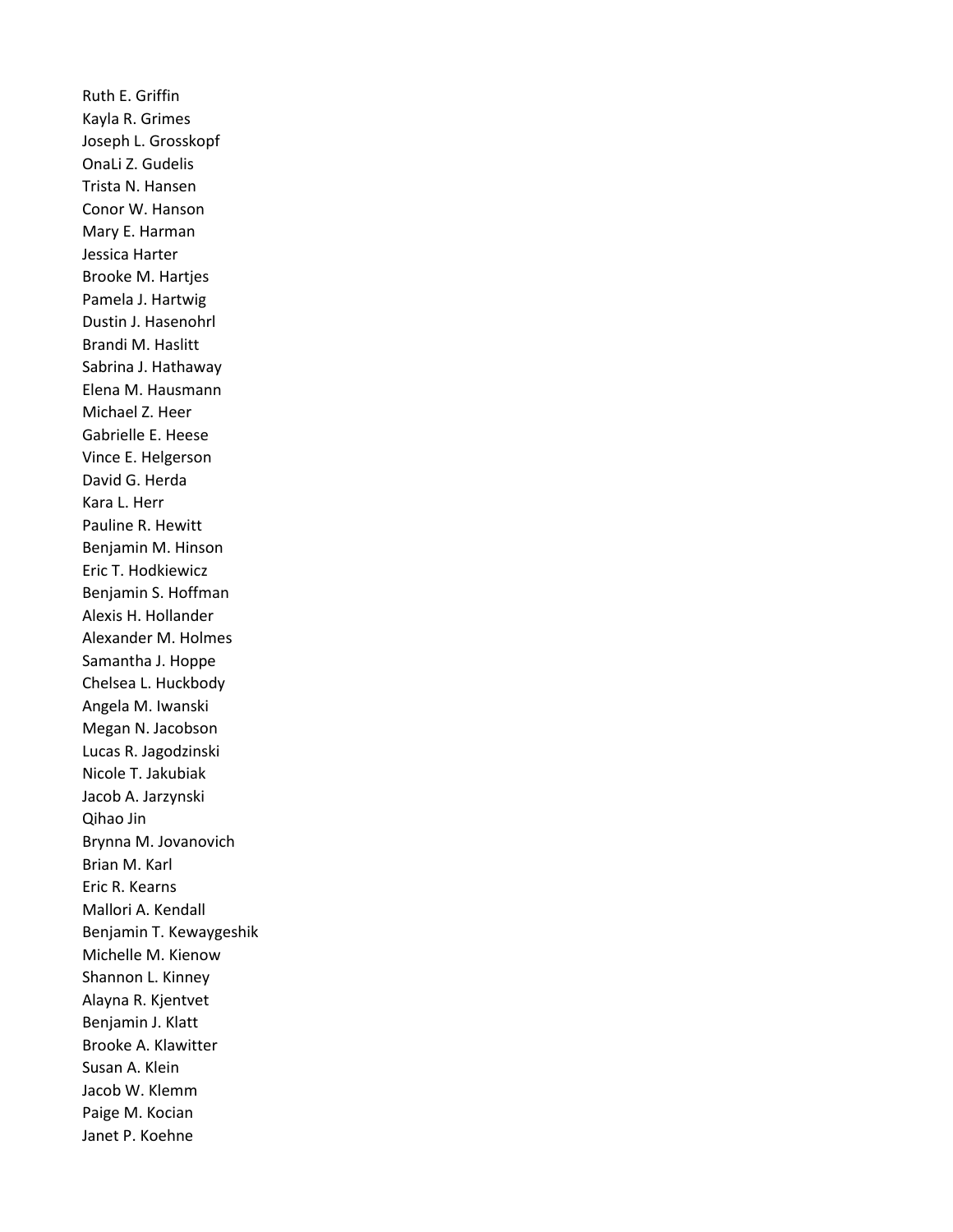Ruth E. Griffin Kayla R. Grimes Joseph L. Grosskopf OnaLi Z. Gudelis Trista N. Hansen Conor W. Hanson Mary E. Harman Jessica Harter Brooke M. Hartjes Pamela J. Hartwig Dustin J. Hasenohrl Brandi M. Haslitt Sabrina J. Hathaway Elena M. Hausmann Michael Z. Heer Gabrielle E. Heese Vince E. Helgerson David G. Herda Kara L. Herr Pauline R. Hewitt Benjamin M. Hinson Eric T. Hodkiewicz Benjamin S. Hoffman Alexis H. Hollander Alexander M. Holmes Samantha J. Hoppe Chelsea L. Huckbody Angela M. Iwanski Megan N. Jacobson Lucas R. Jagodzinski Nicole T. Jakubiak Jacob A. Jarzynski Qihao Jin Brynna M. Jovanovich Brian M. Karl Eric R. Kearns Mallori A. Kendall Benjamin T. Kewaygeshik Michelle M. Kienow Shannon L. Kinney Alayna R. Kjentvet Benjamin J. Klatt Brooke A. Klawitter Susan A. Klein Jacob W. Klemm Paige M. Kocian Janet P. Koehne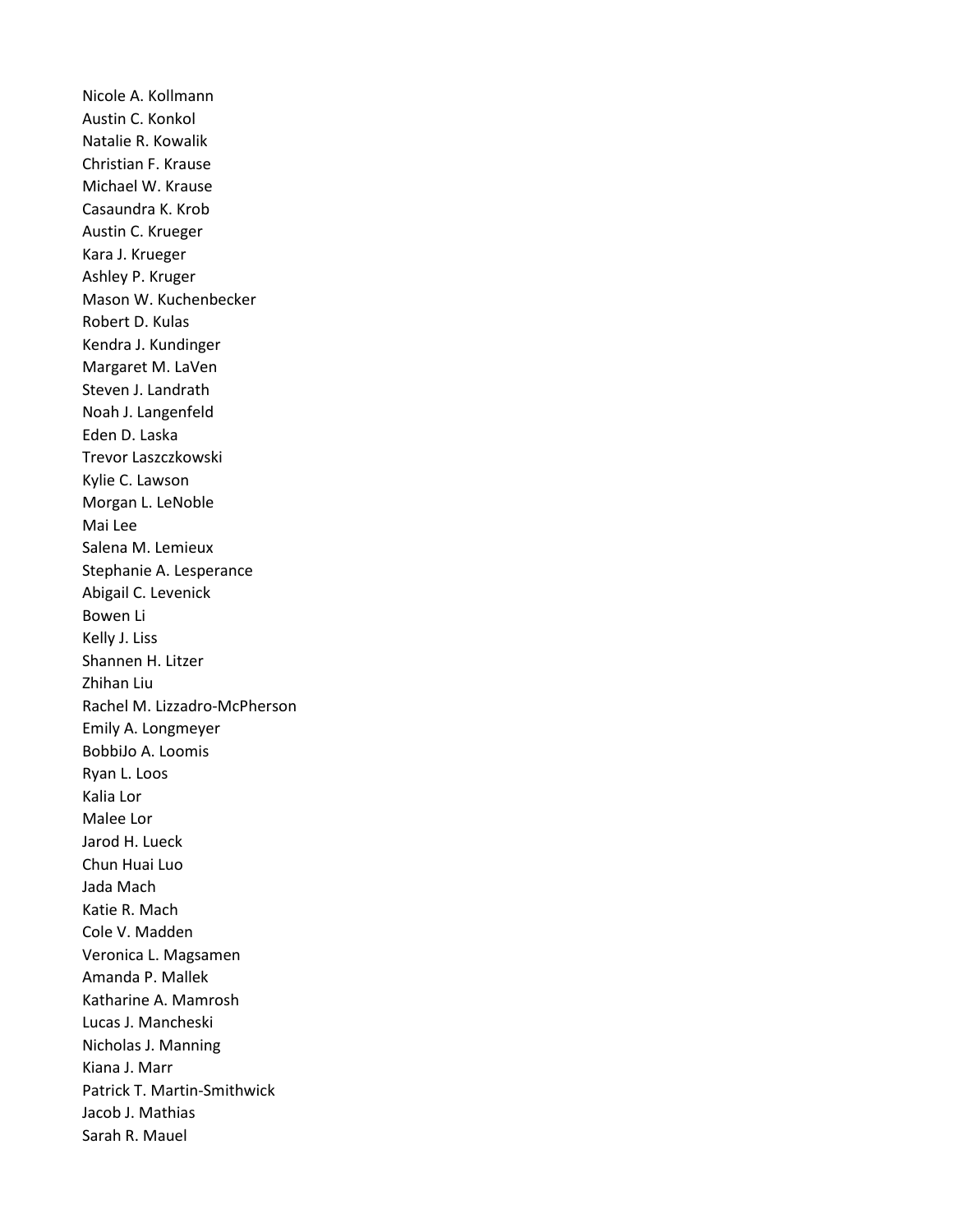Nicole A. Kollmann Austin C. Konkol Natalie R. Kowalik Christian F. Krause Michael W. Krause Casaundra K. Krob Austin C. Krueger Kara J. Krueger Ashley P. Kruger Mason W. Kuchenbecker Robert D. Kulas Kendra J. Kundinger Margaret M. LaVen Steven J. Landrath Noah J. Langenfeld Eden D. Laska Trevor Laszczkowski Kylie C. Lawson Morgan L. LeNoble Mai Lee Salena M. Lemieux Stephanie A. Lesperance Abigail C. Levenick Bowen Li Kelly J. Liss Shannen H. Litzer Zhihan Liu Rachel M. Lizzadro-McPherson Emily A. Longmeyer BobbiJo A. Loomis Ryan L. Loos Kalia Lor Malee Lor Jarod H. Lueck Chun Huai Luo Jada Mach Katie R. Mach Cole V. Madden Veronica L. Magsamen Amanda P. Mallek Katharine A. Mamrosh Lucas J. Mancheski Nicholas J. Manning Kiana J. Marr Patrick T. Martin-Smithwick Jacob J. Mathias Sarah R. Mauel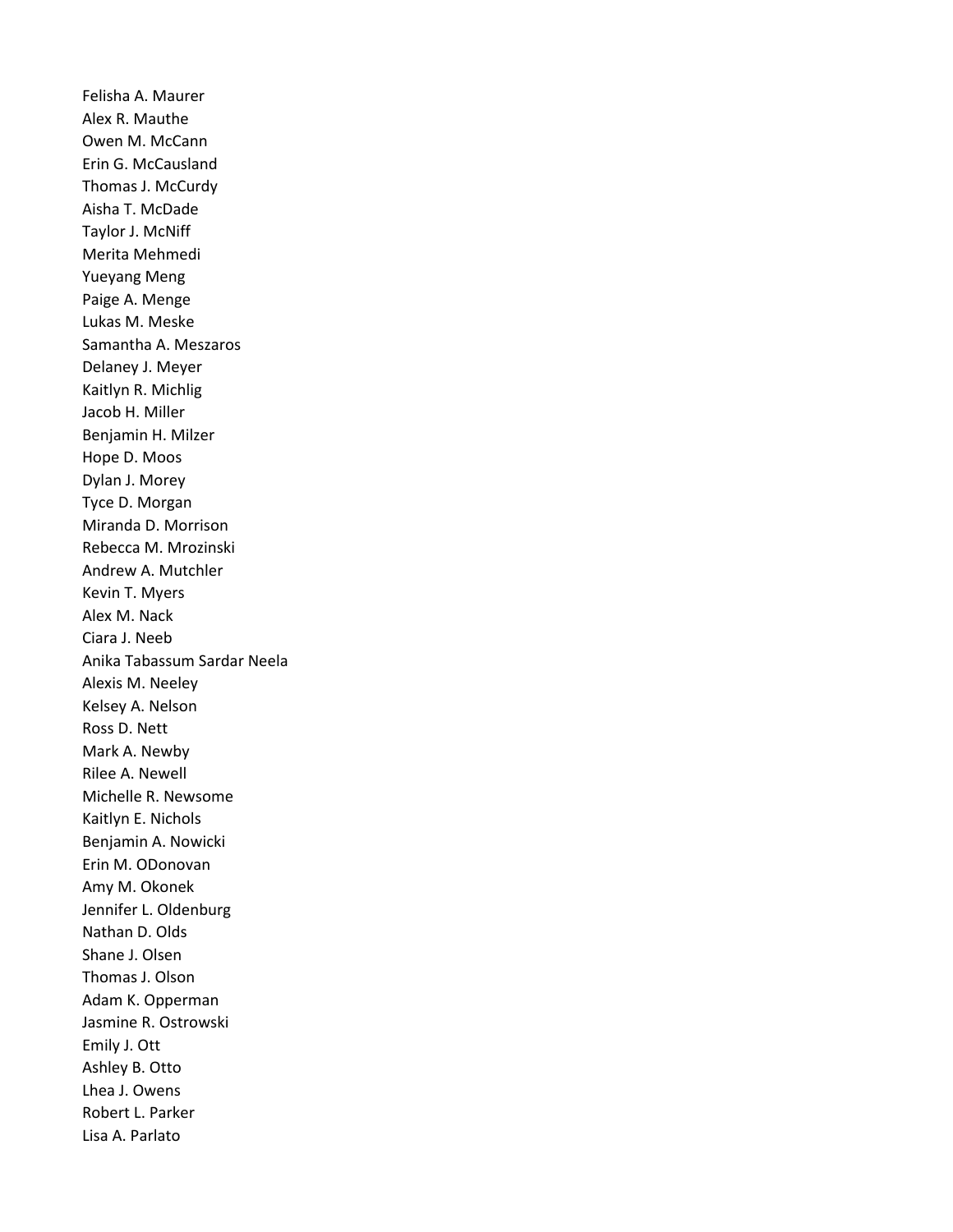Felisha A. Maurer Alex R. Mauthe Owen M. McCann Erin G. McCausland Thomas J. McCurdy Aisha T. McDade Taylor J. McNiff Merita Mehmedi Yueyang Meng Paige A. Menge Lukas M. Meske Samantha A. Meszaros Delaney J. Meyer Kaitlyn R. Michlig Jacob H. Miller Benjamin H. Milzer Hope D. Moos Dylan J. Morey Tyce D. Morgan Miranda D. Morrison Rebecca M. Mrozinski Andrew A. Mutchler Kevin T. Myers Alex M. Nack Ciara J. Neeb Anika Tabassum Sardar Neela Alexis M. Neeley Kelsey A. Nelson Ross D. Nett Mark A. Newby Rilee A. Newell Michelle R. Newsome Kaitlyn E. Nichols Benjamin A. Nowicki Erin M. ODonovan Amy M. Okonek Jennifer L. Oldenburg Nathan D. Olds Shane J. Olsen Thomas J. Olson Adam K. Opperman Jasmine R. Ostrowski Emily J. Ott Ashley B. Otto Lhea J. Owens Robert L. Parker Lisa A. Parlato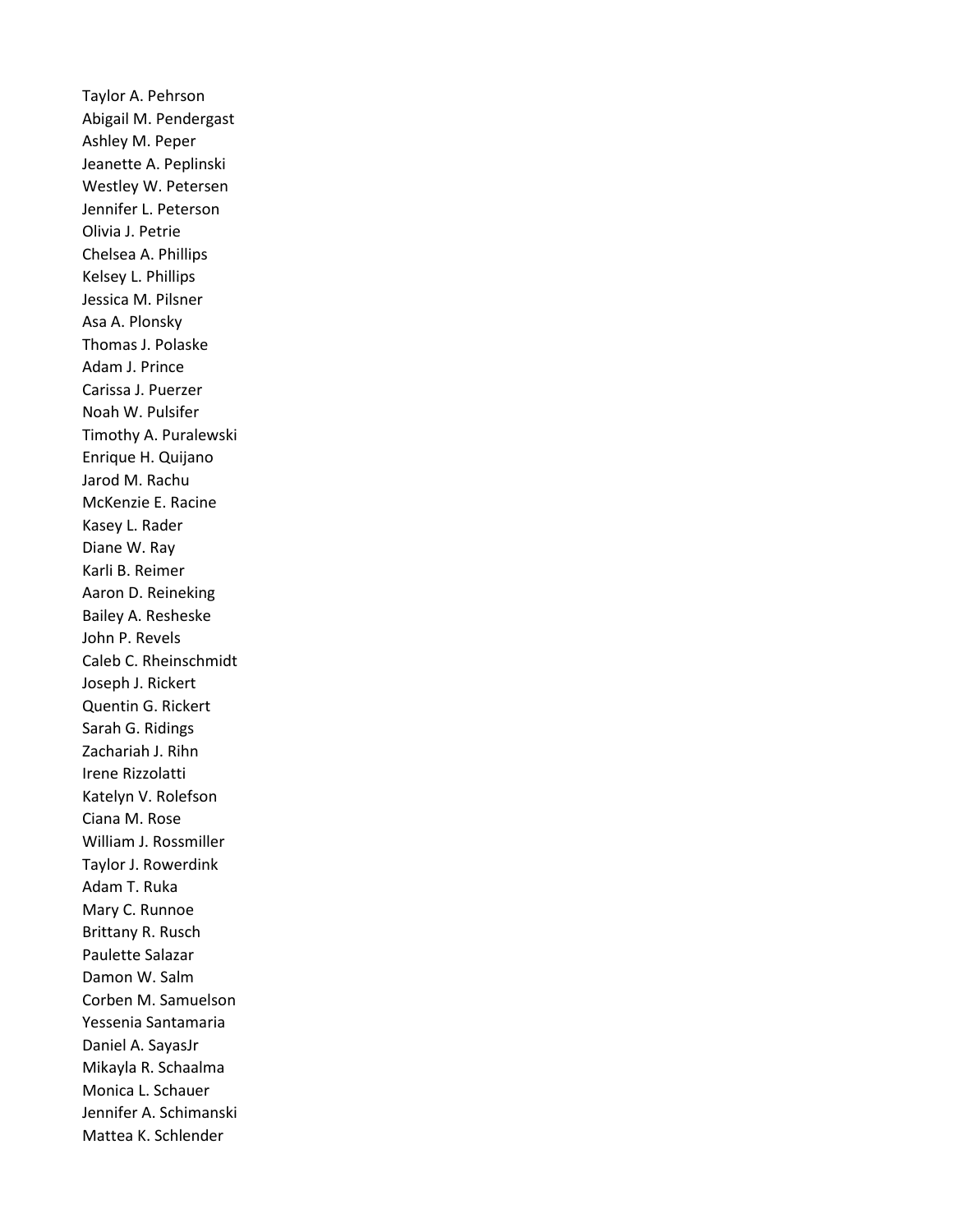Taylor A. Pehrson Abigail M. Pendergast Ashley M. Peper Jeanette A. Peplinski Westley W. Petersen Jennifer L. Peterson Olivia J. Petrie Chelsea A. Phillips Kelsey L. Phillips Jessica M. Pilsner Asa A. Plonsky Thomas J. Polaske Adam J. Prince Carissa J. Puerzer Noah W. Pulsifer Timothy A. Puralewski Enrique H. Quijano Jarod M. Rachu McKenzie E. Racine Kasey L. Rader Diane W. Ray Karli B. Reimer Aaron D. Reineking Bailey A. Resheske John P. Revels Caleb C. Rheinschmidt Joseph J. Rickert Quentin G. Rickert Sarah G. Ridings Zachariah J. Rihn Irene Rizzolatti Katelyn V. Rolefson Ciana M. Rose William J. Rossmiller Taylor J. Rowerdink Adam T. Ruka Mary C. Runnoe Brittany R. Rusch Paulette Salazar Damon W. Salm Corben M. Samuelson Yessenia Santamaria Daniel A. SayasJr Mikayla R. Schaalma Monica L. Schauer Jennifer A. Schimanski Mattea K. Schlender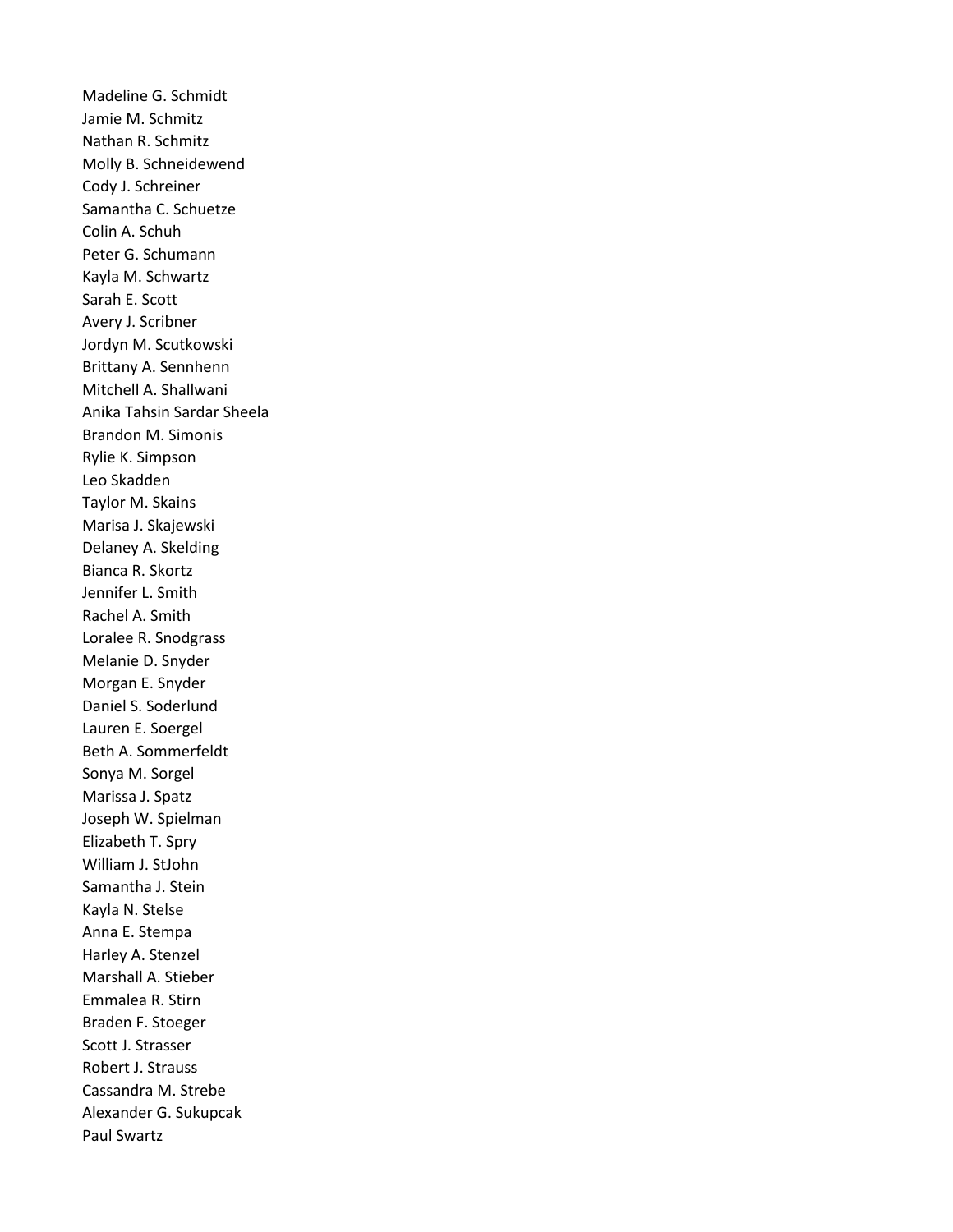Madeline G. Schmidt Jamie M. Schmitz Nathan R. Schmitz Molly B. Schneidewend Cody J. Schreiner Samantha C. Schuetze Colin A. Schuh Peter G. Schumann Kayla M. Schwartz Sarah E. Scott Avery J. Scribner Jordyn M. Scutkowski Brittany A. Sennhenn Mitchell A. Shallwani Anika Tahsin Sardar Sheela Brandon M. Simonis Rylie K. Simpson Leo Skadden Taylor M. Skains Marisa J. Skajewski Delaney A. Skelding Bianca R. Skortz Jennifer L. Smith Rachel A. Smith Loralee R. Snodgrass Melanie D. Snyder Morgan E. Snyder Daniel S. Soderlund Lauren E. Soergel Beth A. Sommerfeldt Sonya M. Sorgel Marissa J. Spatz Joseph W. Spielman Elizabeth T. Spry William J. StJohn Samantha J. Stein Kayla N. Stelse Anna E. Stempa Harley A. Stenzel Marshall A. Stieber Emmalea R. Stirn Braden F. Stoeger Scott J. Strasser Robert J. Strauss Cassandra M. Strebe Alexander G. Sukupcak Paul Swartz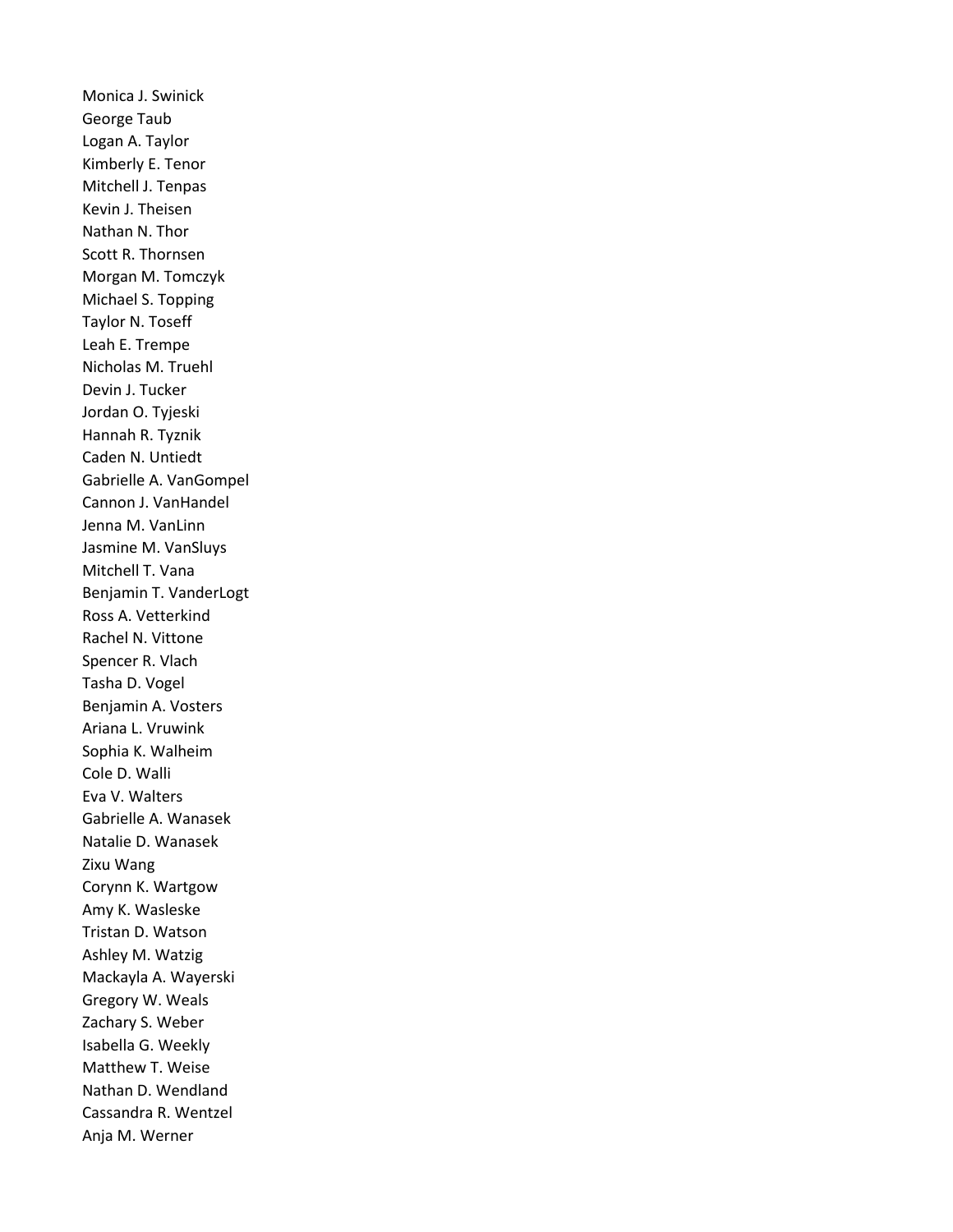Monica J. Swinick George Taub Logan A. Taylor Kimberly E. Tenor Mitchell J. Tenpas Kevin J. Theisen Nathan N. Thor Scott R. Thornsen Morgan M. Tomczyk Michael S. Topping Taylor N. Toseff Leah E. Trempe Nicholas M. Truehl Devin J. Tucker Jordan O. Tyjeski Hannah R. Tyznik Caden N. Untiedt Gabrielle A. VanGompel Cannon J. VanHandel Jenna M. VanLinn Jasmine M. VanSluys Mitchell T. Vana Benjamin T. VanderLogt Ross A. Vetterkind Rachel N. Vittone Spencer R. Vlach Tasha D. Vogel Benjamin A. Vosters Ariana L. Vruwink Sophia K. Walheim Cole D. Walli Eva V. Walters Gabrielle A. Wanasek Natalie D. Wanasek Zixu Wang Corynn K. Wartgow Amy K. Wasleske Tristan D. Watson Ashley M. Watzig Mackayla A. Wayerski Gregory W. Weals Zachary S. Weber Isabella G. Weekly Matthew T. Weise Nathan D. Wendland Cassandra R. Wentzel Anja M. Werner